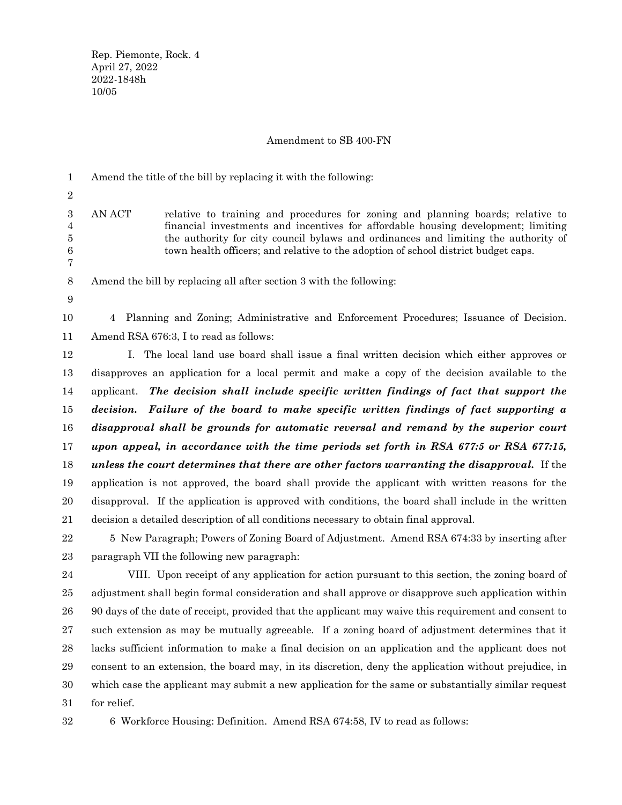# Amendment to SB 400-FN

| 1                                    | Amend the title of the bill by replacing it with the following:                                                                                                                                                                                                                                                                                             |
|--------------------------------------|-------------------------------------------------------------------------------------------------------------------------------------------------------------------------------------------------------------------------------------------------------------------------------------------------------------------------------------------------------------|
| $\overline{2}$                       |                                                                                                                                                                                                                                                                                                                                                             |
| 3<br>4<br>5<br>$\boldsymbol{6}$<br>7 | AN ACT<br>relative to training and procedures for zoning and planning boards; relative to<br>financial investments and incentives for affordable housing development; limiting<br>the authority for city council by laws and ordinances and limiting the authority of<br>town health officers; and relative to the adoption of school district budget caps. |
| $8\,$                                | Amend the bill by replacing all after section 3 with the following:                                                                                                                                                                                                                                                                                         |
| 9                                    |                                                                                                                                                                                                                                                                                                                                                             |
| 10                                   | Planning and Zoning; Administrative and Enforcement Procedures; Issuance of Decision.<br>4                                                                                                                                                                                                                                                                  |
| 11                                   | Amend RSA 676:3, I to read as follows:                                                                                                                                                                                                                                                                                                                      |
| 12                                   | I. The local land use board shall issue a final written decision which either approves or                                                                                                                                                                                                                                                                   |
| 13                                   | disapproves an application for a local permit and make a copy of the decision available to the                                                                                                                                                                                                                                                              |
| 14                                   | applicant. The decision shall include specific written findings of fact that support the                                                                                                                                                                                                                                                                    |
| 15                                   | decision. Failure of the board to make specific written findings of fact supporting a                                                                                                                                                                                                                                                                       |
| 16                                   | disapproval shall be grounds for automatic reversal and remand by the superior court                                                                                                                                                                                                                                                                        |
| 17                                   | upon appeal, in accordance with the time periods set forth in RSA 677:5 or RSA 677:15,                                                                                                                                                                                                                                                                      |
| 18                                   | unless the court determines that there are other factors warranting the disapproval. If the                                                                                                                                                                                                                                                                 |
| 19                                   | application is not approved, the board shall provide the applicant with written reasons for the                                                                                                                                                                                                                                                             |
| 20                                   | disapproval. If the application is approved with conditions, the board shall include in the written                                                                                                                                                                                                                                                         |
| 21                                   | decision a detailed description of all conditions necessary to obtain final approval.                                                                                                                                                                                                                                                                       |
| $22\,$                               | 5 New Paragraph; Powers of Zoning Board of Adjustment. Amend RSA 674:33 by inserting after                                                                                                                                                                                                                                                                  |
| 23                                   | paragraph VII the following new paragraph:                                                                                                                                                                                                                                                                                                                  |
| 24                                   | VIII. Upon receipt of any application for action pursuant to this section, the zoning board of                                                                                                                                                                                                                                                              |
| 25                                   | adjustment shall begin formal consideration and shall approve or disapprove such application within                                                                                                                                                                                                                                                         |
| 26                                   | 90 days of the date of receipt, provided that the applicant may waive this requirement and consent to                                                                                                                                                                                                                                                       |
| 27                                   | such extension as may be mutually agreeable. If a zoning board of adjustment determines that it                                                                                                                                                                                                                                                             |
| $\bf{28}$                            | lacks sufficient information to make a final decision on an application and the applicant does not                                                                                                                                                                                                                                                          |
| 29                                   | consent to an extension, the board may, in its discretion, deny the application without prejudice, in                                                                                                                                                                                                                                                       |

which case the applicant may submit a new application for the same or substantially similar request

for relief. 31

30

<sup>6</sup> Workforce Housing: Definition. Amend RSA 674:58, IV to read as follows: 32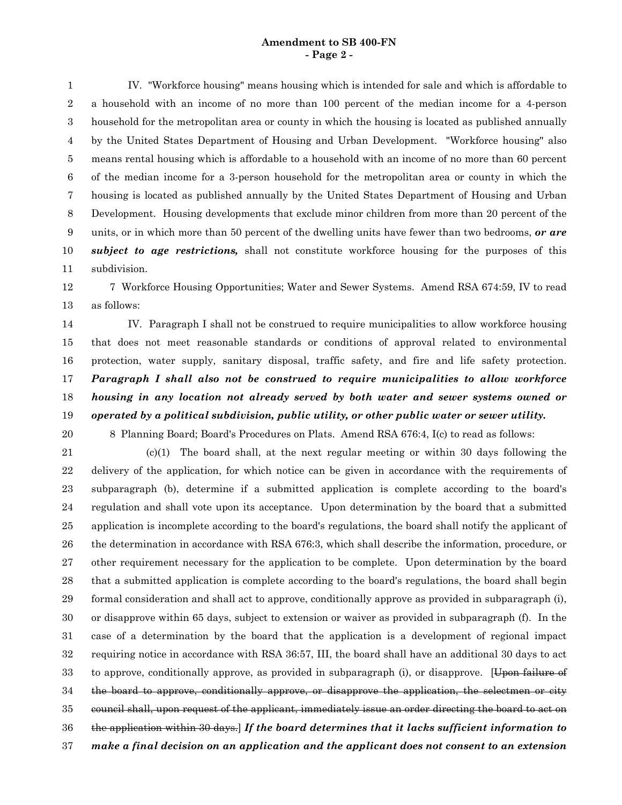#### **Amendment to SB 400-FN - Page 2 -**

IV. "Workforce housing" means housing which is intended for sale and which is affordable to a household with an income of no more than 100 percent of the median income for a 4-person household for the metropolitan area or county in which the housing is located as published annually by the United States Department of Housing and Urban Development. "Workforce housing" also means rental housing which is affordable to a household with an income of no more than 60 percent of the median income for a 3-person household for the metropolitan area or county in which the housing is located as published annually by the United States Department of Housing and Urban Development. Housing developments that exclude minor children from more than 20 percent of the units, or in which more than 50 percent of the dwelling units have fewer than two bedrooms, *or are subject to age restrictions,* shall not constitute workforce housing for the purposes of this subdivision. 1 2 3 4 5 6 7 8 9 10 11

7 Workforce Housing Opportunities; Water and Sewer Systems. Amend RSA 674:59, IV to read as follows: 12 13

IV. Paragraph I shall not be construed to require municipalities to allow workforce housing that does not meet reasonable standards or conditions of approval related to environmental protection, water supply, sanitary disposal, traffic safety, and fire and life safety protection. *Paragraph I shall also not be construed to require municipalities to allow workforce housing in any location not already served by both water and sewer systems owned or operated by a political subdivision, public utility, or other public water or sewer utility.* 14 15 16 17 18 19

20

8 Planning Board; Board's Procedures on Plats. Amend RSA 676:4, I(c) to read as follows:

(c)(1) The board shall, at the next regular meeting or within 30 days following the delivery of the application, for which notice can be given in accordance with the requirements of subparagraph (b), determine if a submitted application is complete according to the board's regulation and shall vote upon its acceptance. Upon determination by the board that a submitted application is incomplete according to the board's regulations, the board shall notify the applicant of the determination in accordance with RSA 676:3, which shall describe the information, procedure, or other requirement necessary for the application to be complete. Upon determination by the board that a submitted application is complete according to the board's regulations, the board shall begin formal consideration and shall act to approve, conditionally approve as provided in subparagraph (i), or disapprove within 65 days, subject to extension or waiver as provided in subparagraph (f). In the case of a determination by the board that the application is a development of regional impact requiring notice in accordance with RSA 36:57, III, the board shall have an additional 30 days to act to approve, conditionally approve, as provided in subparagraph (i), or disapprove. [Upon failure of the board to approve, conditionally approve, or disapprove the application, the selectmen or city council shall, upon request of the applicant, immediately issue an order directing the board to act on the application within 30 days.] *If the board determines that it lacks sufficient information to make a final decision on an application and the applicant does not consent to an extension* 21 22 23 24 25 26 27 28 29 30 31 32 33 34 35 36 37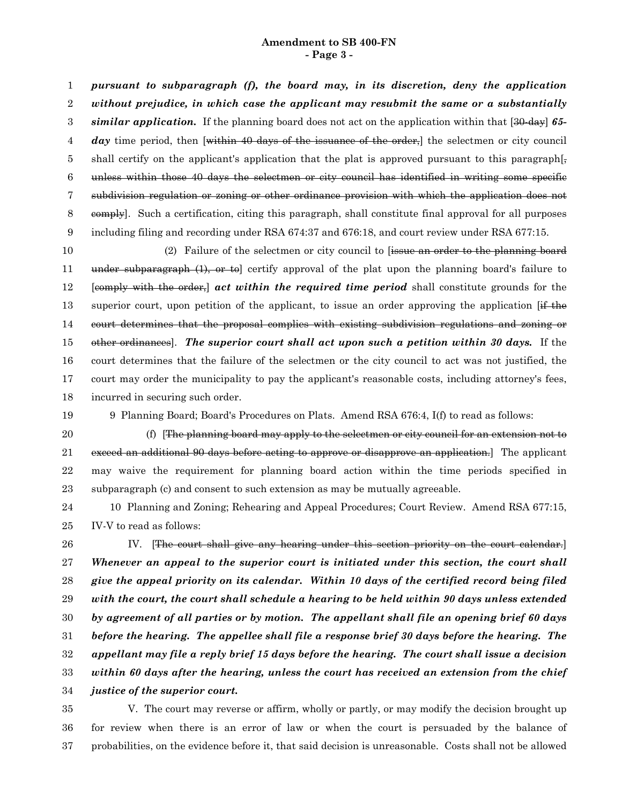#### **Amendment to SB 400-FN - Page 3 -**

*pursuant to subparagraph (f), the board may, in its discretion, deny the application without prejudice, in which case the applicant may resubmit the same or a substantially similar application.* If the planning board does not act on the application within that [30-day] *65* day time period, then [within 40 days of the issuance of the order,] the selectmen or city council shall certify on the applicant's application that the plat is approved pursuant to this paragraph[ $\frac{1}{2}$ ] unless within those 40 days the selectmen or city council has identified in writing some specific subdivision regulation or zoning or other ordinance provision with which the application does not eomply]. Such a certification, citing this paragraph, shall constitute final approval for all purposes including filing and recording under RSA 674:37 and 676:18, and court review under RSA 677:15. 1 2 3 4 5 6 7 8 9

(2) Failure of the selectmen or city council to [issue an order to the planning board under subparagraph (1), or to certify approval of the plat upon the planning board's failure to [comply with the order,] *act within the required time period* shall constitute grounds for the superior court, upon petition of the applicant, to issue an order approving the application  $If$  the court determines that the proposal complies with existing subdivision regulations and zoning or other ordinances]. *The superior court shall act upon such a petition within 30 days.* If the court determines that the failure of the selectmen or the city council to act was not justified, the court may order the municipality to pay the applicant's reasonable costs, including attorney's fees, incurred in securing such order. 10 11 12 13 14 15 16 17 18

19

9 Planning Board; Board's Procedures on Plats. Amend RSA 676:4, I(f) to read as follows:

(f) [The planning board may apply to the selectmen or city council for an extension not to exceed an additional 90 days before acting to approve or disapprove an application. The applicant may waive the requirement for planning board action within the time periods specified in subparagraph (c) and consent to such extension as may be mutually agreeable. 20 21 22 23

10 Planning and Zoning; Rehearing and Appeal Procedures; Court Review. Amend RSA 677:15, IV-V to read as follows: 24 25

IV. [The court shall give any hearing under this section priority on the court calendar.] *Whenever an appeal to the superior court is initiated under this section, the court shall give the appeal priority on its calendar. Within 10 days of the certified record being filed with the court, the court shall schedule a hearing to be held within 90 days unless extended by agreement of all parties or by motion. The appellant shall file an opening brief 60 days before the hearing. The appellee shall file a response brief 30 days before the hearing. The appellant may file a reply brief 15 days before the hearing. The court shall issue a decision within 60 days after the hearing, unless the court has received an extension from the chief justice of the superior court.* 26 27 28 29 30 31 32 33 34

V. The court may reverse or affirm, wholly or partly, or may modify the decision brought up for review when there is an error of law or when the court is persuaded by the balance of probabilities, on the evidence before it, that said decision is unreasonable. Costs shall not be allowed 35 36 37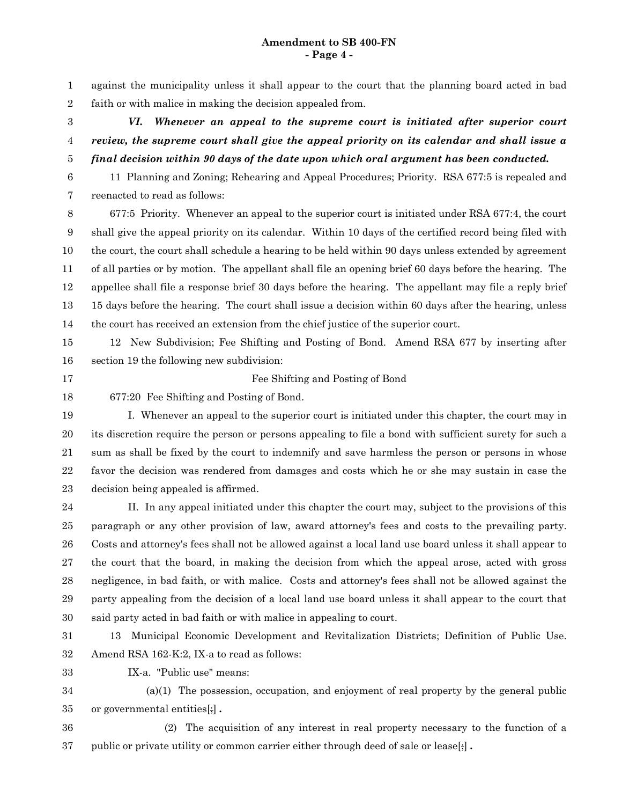against the municipality unless it shall appear to the court that the planning board acted in bad faith or with malice in making the decision appealed from. 1 2

*VI. Whenever an appeal to the supreme court is initiated after superior court review, the supreme court shall give the appeal priority on its calendar and shall issue a final decision within 90 days of the date upon which oral argument has been conducted.* 3 4 5

11 Planning and Zoning; Rehearing and Appeal Procedures; Priority. RSA 677:5 is repealed and reenacted to read as follows: 6 7

677:5 Priority. Whenever an appeal to the superior court is initiated under RSA 677:4, the court shall give the appeal priority on its calendar. Within 10 days of the certified record being filed with the court, the court shall schedule a hearing to be held within 90 days unless extended by agreement of all parties or by motion. The appellant shall file an opening brief 60 days before the hearing. The appellee shall file a response brief 30 days before the hearing. The appellant may file a reply brief 15 days before the hearing. The court shall issue a decision within 60 days after the hearing, unless the court has received an extension from the chief justice of the superior court. 8 9 10 11 12 13 14

12 New Subdivision; Fee Shifting and Posting of Bond. Amend RSA 677 by inserting after section 19 the following new subdivision: 15 16

17

Fee Shifting and Posting of Bond

677:20 Fee Shifting and Posting of Bond. 18

I. Whenever an appeal to the superior court is initiated under this chapter, the court may in its discretion require the person or persons appealing to file a bond with sufficient surety for such a sum as shall be fixed by the court to indemnify and save harmless the person or persons in whose favor the decision was rendered from damages and costs which he or she may sustain in case the decision being appealed is affirmed. 19 20 21 22 23

II. In any appeal initiated under this chapter the court may, subject to the provisions of this paragraph or any other provision of law, award attorney's fees and costs to the prevailing party. Costs and attorney's fees shall not be allowed against a local land use board unless it shall appear to the court that the board, in making the decision from which the appeal arose, acted with gross negligence, in bad faith, or with malice. Costs and attorney's fees shall not be allowed against the party appealing from the decision of a local land use board unless it shall appear to the court that said party acted in bad faith or with malice in appealing to court. 24 25 26 27 28 29 30

13 Municipal Economic Development and Revitalization Districts; Definition of Public Use. Amend RSA 162-K:2, IX-a to read as follows: 31 32

IX-a. "Public use" means: 33

(a)(1) The possession, occupation, and enjoyment of real property by the general public or governmental entities[;] *.* 34 35

(2) The acquisition of any interest in real property necessary to the function of a public or private utility or common carrier either through deed of sale or lease[;] *.* 36 37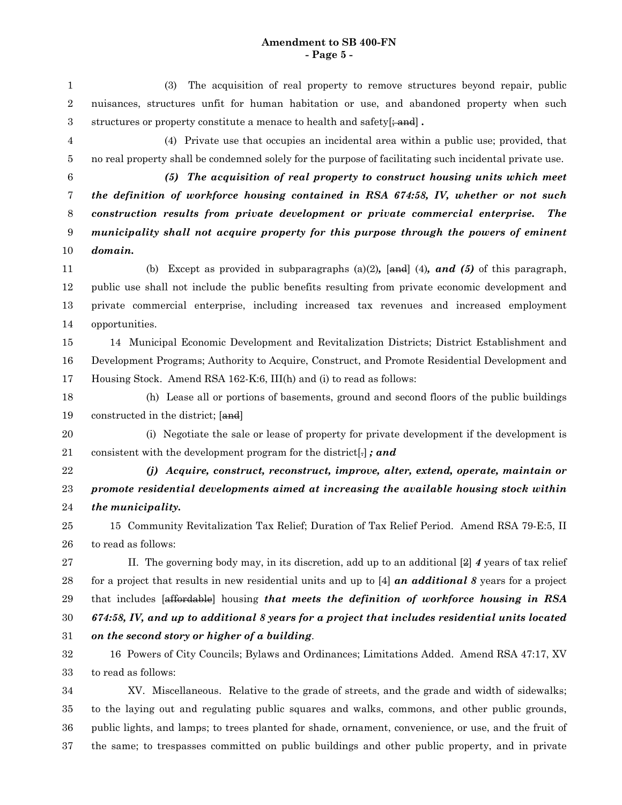#### **Amendment to SB 400-FN - Page 5 -**

(3) The acquisition of real property to remove structures beyond repair, public nuisances, structures unfit for human habitation or use, and abandoned property when such structures or property constitute a menace to health and safety[ $\frac{1}{2}$  and]. 1 2 3

(4) Private use that occupies an incidental area within a public use; provided, that no real property shall be condemned solely for the purpose of facilitating such incidental private use. 4 5

6

*(5) The acquisition of real property to construct housing units which meet the definition of workforce housing contained in RSA 674:58, IV, whether or not such construction results from private development or private commercial enterprise. The municipality shall not acquire property for this purpose through the powers of eminent domain.* 7 8 9 10

(b) Except as provided in subparagraphs (a)(2)*,* [and] (4)*, and (5)* of this paragraph, public use shall not include the public benefits resulting from private economic development and private commercial enterprise, including increased tax revenues and increased employment opportunities. 11 12 13 14

14 Municipal Economic Development and Revitalization Districts; District Establishment and Development Programs; Authority to Acquire, Construct, and Promote Residential Development and Housing Stock. Amend RSA 162-K:6, III(h) and (i) to read as follows: 15 16 17

(h) Lease all or portions of basements, ground and second floors of the public buildings constructed in the district; [and] 18 19

20

(i) Negotiate the sale or lease of property for private development if the development is consistent with the development program for the district[.] *; and* 21

22

*(j) Acquire, construct, reconstruct, improve, alter, extend, operate, maintain or promote residential developments aimed at increasing the available housing stock within the municipality.* 23 24

15 Community Revitalization Tax Relief; Duration of Tax Relief Period. Amend RSA 79-E:5, II to read as follows: 25 26

II. The governing body may, in its discretion, add up to an additional [2] *4* years of tax relief for a project that results in new residential units and up to [4] *an additional 8* years for a project that includes [affordable] housing *that meets the definition of workforce housing in RSA 674:58, IV, and up to additional 8 years for a project that includes residential units located on the second story or higher of a building*. 27 28 29 30 31

16 Powers of City Councils; Bylaws and Ordinances; Limitations Added. Amend RSA 47:17, XV to read as follows: 32 33

XV. Miscellaneous. Relative to the grade of streets, and the grade and width of sidewalks; to the laying out and regulating public squares and walks, commons, and other public grounds, public lights, and lamps; to trees planted for shade, ornament, convenience, or use, and the fruit of the same; to trespasses committed on public buildings and other public property, and in private 34 35 36 37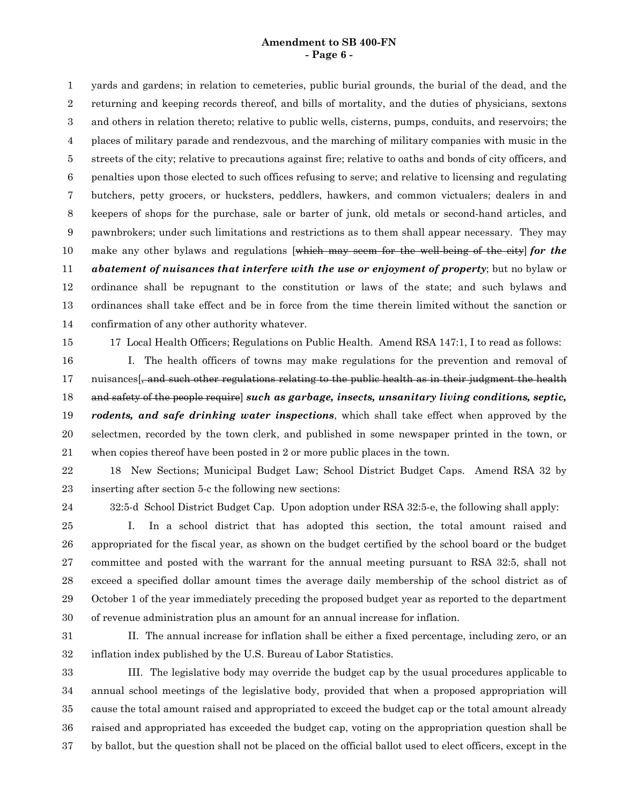### **Amendment to SB 400-FN - Page 6 -**

yards and gardens; in relation to cemeteries, public burial grounds, the burial of the dead, and the returning and keeping records thereof, and bills of mortality, and the duties of physicians, sextons and others in relation thereto; relative to public wells, cisterns, pumps, conduits, and reservoirs; the places of military parade and rendezvous, and the marching of military companies with music in the streets of the city; relative to precautions against fire; relative to oaths and bonds of city officers, and penalties upon those elected to such offices refusing to serve; and relative to licensing and regulating butchers, petty grocers, or hucksters, peddlers, hawkers, and common victualers; dealers in and keepers of shops for the purchase, sale or barter of junk, old metals or second-hand articles, and pawnbrokers; under such limitations and restrictions as to them shall appear necessary. They may make any other bylaws and regulations [which may seem for the well-being of the city] *for the abatement of nuisances that interfere with the use or enjoyment of property*; but no bylaw or ordinance shall be repugnant to the constitution or laws of the state; and such bylaws and ordinances shall take effect and be in force from the time therein limited without the sanction or confirmation of any other authority whatever. 1 2 3 4 5 6 7 8 9 10 11 12 13 14

15

17 Local Health Officers; Regulations on Public Health. Amend RSA 147:1, I to read as follows:

I. The health officers of towns may make regulations for the prevention and removal of nuisances<sup>[</sup>, and such other regulations relating to the public health as in their judgment the health and safety of the people require] *such as garbage, insects, unsanitary living conditions, septic, rodents, and safe drinking water inspections*, which shall take effect when approved by the selectmen, recorded by the town clerk, and published in some newspaper printed in the town, or when copies thereof have been posted in 2 or more public places in the town. 16 17 18 19 20 21

18 New Sections; Municipal Budget Law; School District Budget Caps. Amend RSA 32 by inserting after section 5-c the following new sections: 22 23

24

32:5-d School District Budget Cap. Upon adoption under RSA 32:5-e, the following shall apply:

I. In a school district that has adopted this section, the total amount raised and appropriated for the fiscal year, as shown on the budget certified by the school board or the budget committee and posted with the warrant for the annual meeting pursuant to RSA 32:5, shall not exceed a specified dollar amount times the average daily membership of the school district as of October 1 of the year immediately preceding the proposed budget year as reported to the department of revenue administration plus an amount for an annual increase for inflation. 25 26 27 28 29 30

31

II. The annual increase for inflation shall be either a fixed percentage, including zero, or an inflation index published by the U.S. Bureau of Labor Statistics. 32

III. The legislative body may override the budget cap by the usual procedures applicable to annual school meetings of the legislative body, provided that when a proposed appropriation will cause the total amount raised and appropriated to exceed the budget cap or the total amount already raised and appropriated has exceeded the budget cap, voting on the appropriation question shall be by ballot, but the question shall not be placed on the official ballot used to elect officers, except in the 33 34 35 36 37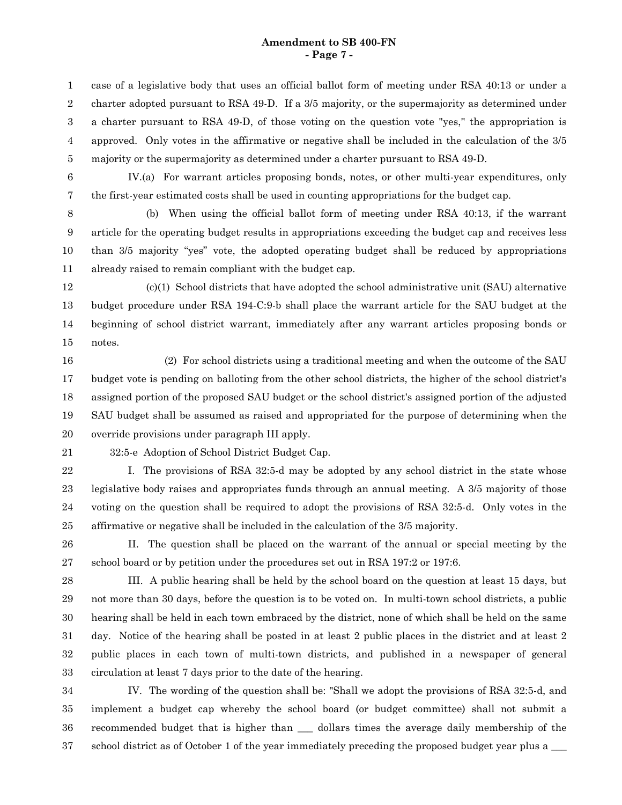#### **Amendment to SB 400-FN - Page 7 -**

case of a legislative body that uses an official ballot form of meeting under RSA 40:13 or under a charter adopted pursuant to RSA 49-D. If a 3/5 majority, or the supermajority as determined under a charter pursuant to RSA 49-D, of those voting on the question vote "yes,'' the appropriation is approved. Only votes in the affirmative or negative shall be included in the calculation of the 3/5 majority or the supermajority as determined under a charter pursuant to RSA 49-D. 1 2 3 4 5

6

IV.(a) For warrant articles proposing bonds, notes, or other multi-year expenditures, only the first-year estimated costs shall be used in counting appropriations for the budget cap.

7 8

9

(b) When using the official ballot form of meeting under RSA 40:13, if the warrant article for the operating budget results in appropriations exceeding the budget cap and receives less

than 3/5 majority "yes" vote, the adopted operating budget shall be reduced by appropriations already raised to remain compliant with the budget cap. 10 11

(c)(1) School districts that have adopted the school administrative unit (SAU) alternative budget procedure under RSA 194-C:9-b shall place the warrant article for the SAU budget at the beginning of school district warrant, immediately after any warrant articles proposing bonds or notes. 12 13 14 15

(2) For school districts using a traditional meeting and when the outcome of the SAU budget vote is pending on balloting from the other school districts, the higher of the school district's assigned portion of the proposed SAU budget or the school district's assigned portion of the adjusted SAU budget shall be assumed as raised and appropriated for the purpose of determining when the override provisions under paragraph III apply. 16 17 18 19 20

21

32:5-e Adoption of School District Budget Cap.

I. The provisions of RSA 32:5-d may be adopted by any school district in the state whose legislative body raises and appropriates funds through an annual meeting. A 3/5 majority of those voting on the question shall be required to adopt the provisions of RSA 32:5-d. Only votes in the affirmative or negative shall be included in the calculation of the 3/5 majority. 22 23 24 25

II. The question shall be placed on the warrant of the annual or special meeting by the school board or by petition under the procedures set out in RSA 197:2 or 197:6. 26 27

III. A public hearing shall be held by the school board on the question at least 15 days, but not more than 30 days, before the question is to be voted on. In multi-town school districts, a public hearing shall be held in each town embraced by the district, none of which shall be held on the same day. Notice of the hearing shall be posted in at least 2 public places in the district and at least 2 public places in each town of multi-town districts, and published in a newspaper of general circulation at least 7 days prior to the date of the hearing. 28 29 30 31 32 33

IV. The wording of the question shall be: "Shall we adopt the provisions of RSA 32:5-d, and implement a budget cap whereby the school board (or budget committee) shall not submit a recommended budget that is higher than \_\_\_ dollars times the average daily membership of the school district as of October 1 of the year immediately preceding the proposed budget year plus a \_\_\_ 34 35 36 37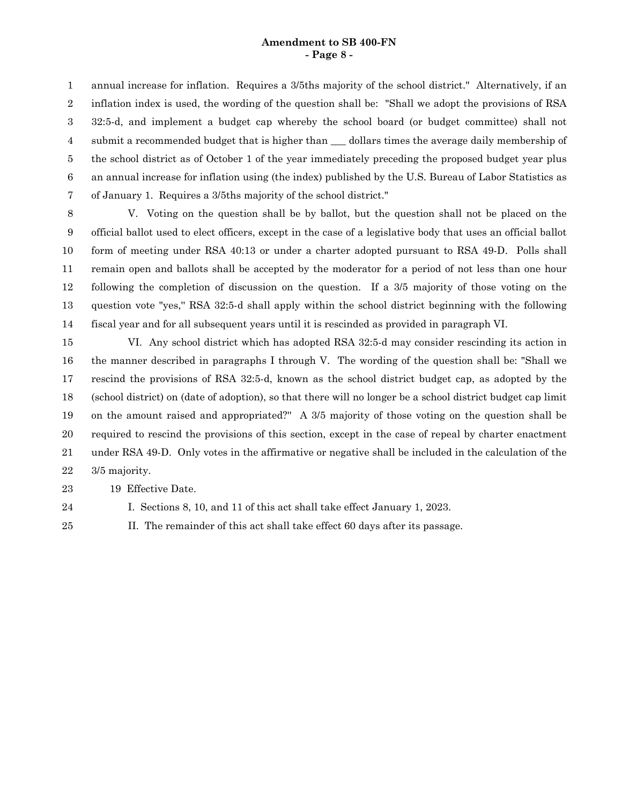### **Amendment to SB 400-FN - Page 8 -**

annual increase for inflation. Requires a 3/5ths majority of the school district." Alternatively, if an inflation index is used, the wording of the question shall be: "Shall we adopt the provisions of RSA 32:5-d, and implement a budget cap whereby the school board (or budget committee) shall not submit a recommended budget that is higher than dollars times the average daily membership of the school district as of October 1 of the year immediately preceding the proposed budget year plus an annual increase for inflation using (the index) published by the U.S. Bureau of Labor Statistics as of January 1. Requires a 3/5ths majority of the school district." 1 2 3 4 5 6 7

V. Voting on the question shall be by ballot, but the question shall not be placed on the official ballot used to elect officers, except in the case of a legislative body that uses an official ballot form of meeting under RSA 40:13 or under a charter adopted pursuant to RSA 49-D. Polls shall remain open and ballots shall be accepted by the moderator for a period of not less than one hour following the completion of discussion on the question. If a 3/5 majority of those voting on the question vote "yes,'' RSA 32:5-d shall apply within the school district beginning with the following fiscal year and for all subsequent years until it is rescinded as provided in paragraph VI. 8 9 10 11 12 13 14

VI. Any school district which has adopted RSA 32:5-d may consider rescinding its action in the manner described in paragraphs I through V. The wording of the question shall be: "Shall we rescind the provisions of RSA 32:5-d, known as the school district budget cap, as adopted by the (school district) on (date of adoption), so that there will no longer be a school district budget cap limit on the amount raised and appropriated?'' A 3/5 majority of those voting on the question shall be required to rescind the provisions of this section, except in the case of repeal by charter enactment under RSA 49-D. Only votes in the affirmative or negative shall be included in the calculation of the 3/5 majority. 15 16 17 18 19 20 21 22

19 Effective Date. 23

24

I. Sections 8, 10, and 11 of this act shall take effect January 1, 2023.

25

II. The remainder of this act shall take effect 60 days after its passage.